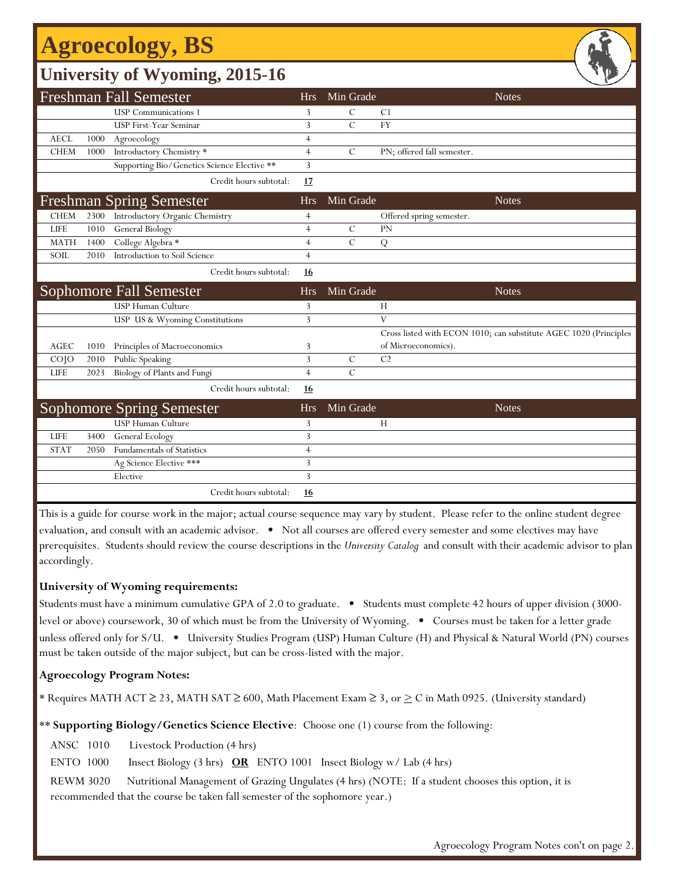## **Agroecology, BS**

## **University of Wyoming, 2015-16**

|             |      | <b>Freshman Fall Semester</b>               | <b>Hrs</b>     | Min Grade     | <b>Notes</b>                                                      |
|-------------|------|---------------------------------------------|----------------|---------------|-------------------------------------------------------------------|
|             |      | <b>USP</b> Communications 1                 | 3              | $\mathcal{C}$ | C <sub>1</sub>                                                    |
|             |      | <b>USP First-Year Seminar</b>               | 3              | $\mathcal{C}$ | <b>FY</b>                                                         |
| <b>AECL</b> | 1000 | Agroecology                                 | 4              |               |                                                                   |
| <b>CHEM</b> | 1000 | Introductory Chemistry *                    | $\overline{4}$ | $\mathcal{C}$ | PN; offered fall semester.                                        |
|             |      | Supporting Bio/Genetics Science Elective ** | 3              |               |                                                                   |
|             |      | Credit hours subtotal:                      | 17             |               |                                                                   |
|             |      | <b>Freshman Spring Semester</b>             | <b>Hrs</b>     | Min Grade     | <b>Notes</b>                                                      |
| <b>CHEM</b> | 2300 | Introductory Organic Chemistry              | 4              |               | Offered spring semester.                                          |
| <b>LIFE</b> | 1010 | <b>General Biology</b>                      | $\overline{4}$ | $\mathcal{C}$ | PN                                                                |
| <b>MATH</b> | 1400 | College Algebra *                           | $\overline{4}$ | $\mathcal{C}$ | Q                                                                 |
| SOIL        | 2010 | Introduction to Soil Science                | $\overline{4}$ |               |                                                                   |
|             |      | Credit hours subtotal:                      | <u>16</u>      |               |                                                                   |
|             |      | Sophomore Fall Semester                     | <b>Hrs</b>     | Min Grade     | <b>Notes</b>                                                      |
|             |      | <b>USP Human Culture</b>                    | 3              |               | H                                                                 |
|             |      | USP US & Wyoming Constitutions              | 3              |               | V                                                                 |
|             |      |                                             |                |               | Cross listed with ECON 1010; can substitute AGEC 1020 (Principles |
| <b>AGEC</b> | 1010 | Principles of Macroeconomics                | 3              |               | of Microeconomics).                                               |
| $CO$ $JO$   | 2010 | Public Speaking                             | 3              | $\mathcal{C}$ | C <sub>2</sub>                                                    |
| LIFE        | 2023 | Biology of Plants and Fungi                 | $\overline{4}$ | $\mathcal{C}$ |                                                                   |
|             |      | Credit hours subtotal:                      | 16             |               |                                                                   |
|             |      | <b>Sophomore Spring Semester</b>            | <b>Hrs</b>     | Min Grade     | <b>Notes</b>                                                      |
|             |      | USP Human Culture                           | 3              |               | H                                                                 |
| <b>LIFE</b> | 3400 | General Ecology                             | 3              |               |                                                                   |
| <b>STAT</b> | 2050 | Fundamentals of Statistics                  | $\overline{4}$ |               |                                                                   |
|             |      | Ag Science Elective ***                     | 3              |               |                                                                   |
|             |      | Elective                                    | 3              |               |                                                                   |
|             |      | Credit hours subtotal:                      | <u>16</u>      |               |                                                                   |

This is a guide for course work in the major; actual course sequence may vary by student. Please refer to the online student degree evaluation, and consult with an academic advisor. • Not all courses are offered every semester and some electives may have prerequisites. Students should review the course descriptions in the *University Catalog* and consult with their academic advisor to plan accordingly.

### **University of Wyoming requirements:**

Students must have a minimum cumulative GPA of 2.0 to graduate. • Students must complete 42 hours of upper division (3000 level or above) coursework, 30 of which must be from the University of Wyoming. • Courses must be taken for a letter grade unless offered only for S/U. • University Studies Program (USP) Human Culture (H) and Physical & Natural World (PN) courses must be taken outside of the major subject, but can be cross-listed with the major.

### **Agroecology Program Notes:**

\* Requires MATH ACT ≥ 23, MATH SAT ≥ 600, Math Placement Exam ≥ 3, or > C in Math 0925. (University standard)

\*\* **Supporting Biology/Genetics Science Elective**: Choose one (1) course from the following:

ANSC 1010 Livestock Production (4 hrs)

ENTO 1000 Insect Biology (3 hrs) **OR** ENTO 1001 Insect Biology w/ Lab (4 hrs)

REWM 3020 Nutritional Management of Grazing Ungulates (4 hrs) (NOTE: If a student chooses this option, it is recommended that the course be taken fall semester of the sophomore year.)